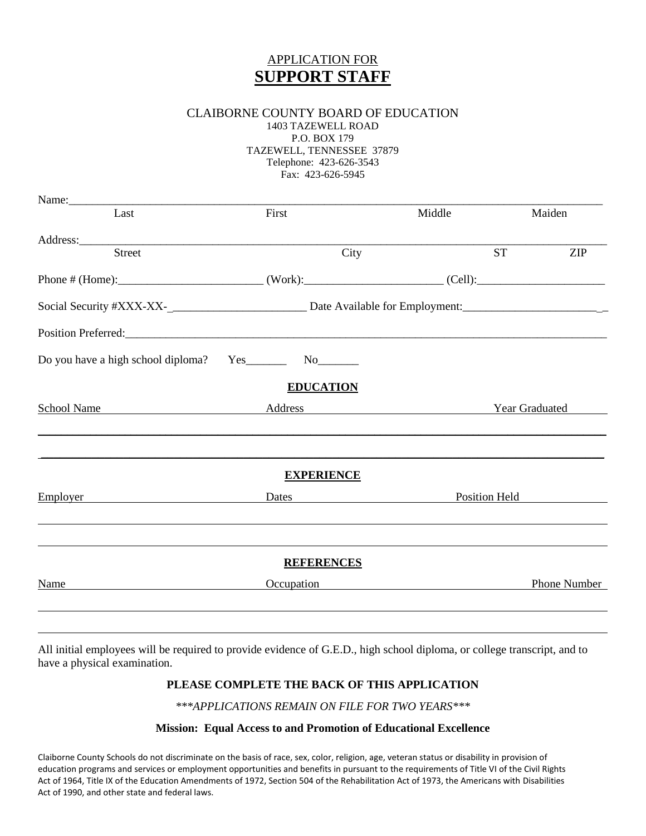# APPLICATION FOR **SUPPORT STAFF**

## CLAIBORNE COUNTY BOARD OF EDUCATION

1403 TAZEWELL ROAD P.O. BOX 179 TAZEWELL, TENNESSEE 37879 Telephone: 423-626-3543 Fax: 423-626-5945

| Last                                                                                                           | First                                                                                                                                                                                                                         | Middle                                           |               | Maiden       |
|----------------------------------------------------------------------------------------------------------------|-------------------------------------------------------------------------------------------------------------------------------------------------------------------------------------------------------------------------------|--------------------------------------------------|---------------|--------------|
| Address: 2008 and 2008 and 2008 and 2008 and 2008 and 2008 and 2008 and 2008 and 2008 and 2008 and 2008 and 20 |                                                                                                                                                                                                                               |                                                  |               |              |
| <b>Street</b>                                                                                                  | City                                                                                                                                                                                                                          |                                                  | <b>ST</b>     | <b>ZIP</b>   |
|                                                                                                                |                                                                                                                                                                                                                               |                                                  |               |              |
|                                                                                                                |                                                                                                                                                                                                                               |                                                  |               |              |
|                                                                                                                |                                                                                                                                                                                                                               |                                                  |               |              |
|                                                                                                                |                                                                                                                                                                                                                               |                                                  |               |              |
|                                                                                                                | <b>EDUCATION</b>                                                                                                                                                                                                              |                                                  |               |              |
| School Name                                                                                                    | <b>Example 3</b> Address <b>Example 3</b> Year Graduated                                                                                                                                                                      |                                                  |               |              |
|                                                                                                                | <b>EXPERIENCE</b>                                                                                                                                                                                                             |                                                  |               |              |
| <b>Employer</b>                                                                                                | Dates and the contract of the contract of the contract of the contract of the contract of the contract of the contract of the contract of the contract of the contract of the contract of the contract of the contract of the |                                                  | Position Held |              |
|                                                                                                                |                                                                                                                                                                                                                               |                                                  |               |              |
|                                                                                                                | <b>REFERENCES</b>                                                                                                                                                                                                             |                                                  |               |              |
|                                                                                                                |                                                                                                                                                                                                                               | Occupation <b>Container Container Container </b> |               | Phone Number |

All initial employees will be required to provide evidence of G.E.D., high school diploma, or college transcript, and to have a physical examination.

### **PLEASE COMPLETE THE BACK OF THIS APPLICATION**

*\*\*\*APPLICATIONS REMAIN ON FILE FOR TWO YEARS\*\*\** 

#### **Mission: Equal Access to and Promotion of Educational Excellence**

Claiborne County Schools do not discriminate on the basis of race, sex, color, religion, age, veteran status or disability in provision of education programs and services or employment opportunities and benefits in pursuant to the requirements of Title VI of the Civil Rights Act of 1964, Title IX of the Education Amendments of 1972, Section 504 of the Rehabilitation Act of 1973, the Americans with Disabilities Act of 1990, and other state and federal laws.